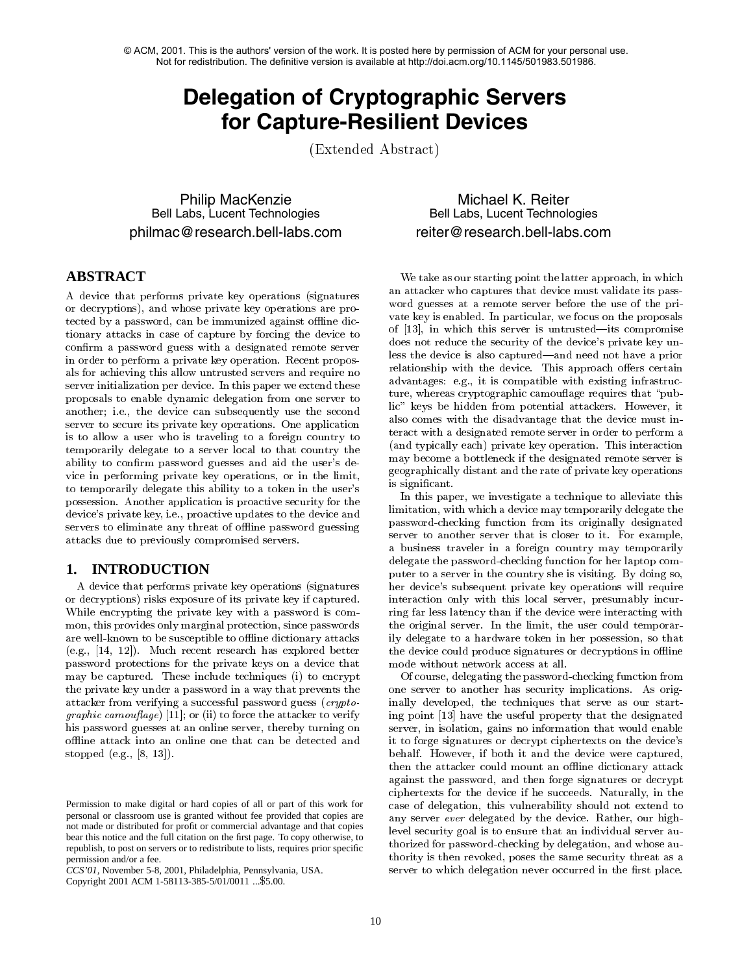# **Delegation of Cryptographic Servers for Capture-Resilient Devices**

(Extended Abstract)

Philip MacKenzie Bell Labs, Lucent Technologies philmac@research.bell-labs.com

# Michael K. Reiter Bell Labs, Lucent Technologies reiter@research.bell-labs.com

# **ABSTRACT**

A device that performs private key operations (signatures or decryptions), and whose private key operations are protected by a password, can be immunized against offline dictionary attacks in case of capture by forcing the device to confirm a password guess with a designated remote server in order to perform a private key operation. Recent proposals for achieving this allow untrusted servers and require no server initialization per device. In this paper we extend these proposals to enable dynamic delegation from one server to another; i.e., the device can subsequently use the second server to secure its private key operations. One application is to allow a user who is traveling to a foreign country to temporarily delegate to a server local to that country the ability to confirm password guesses and aid the user's device in performing private key operations, or in the limit, to temporarily delegate this ability to a token in the user's possession. Another application is proactive security for the device's private key, i.e., proactive updates to the device and servers to eliminate any threat of offline password guessing attacks due to previously compromised servers.

#### **1. INTRODUCTION**

A device that performs private key operations (signatures or decryptions) risks exposure of its private key if captured. While encrypting the private key with a password is common, this provides only marginal protection, since passwords are well-known to be susceptible to offline dictionary attacks (e.g., [14, 12]). Much recent research has explored better password protections for the private keys on a device that may be captured. These include techniques (i) to encrypt the private key under a password in a way that prevents the attacker from verifying a successful password guess (cryptographic camouflage) [11]; or (ii) to force the attacker to verify his password guesses at an online server, thereby turning on offline attack into an online one that can be detected and stopped (e.g., [8, 13]).

Copyright 2001 ACM 1-58113-385-5/01/0011 ...\$5.00.

We take as our starting point the latter approach, in which an attacker who captures that device must validate its pass word guesses at a remote server before the use of the pri vate key is enabled. In particular, we focus on the proposals of  $[13]$ , in which this server is untrusted—its compromise does not reduce the security of the device's private key unless the device is also captured|and need not have a prior relationship with the device. This approach offers certain advantages: e.g., it is compatible with existing infrastructure, whereas cryptographic camouflage requires that "public" keys be hidden from potential attackers. However, it also comes with the disadvantage that the device must interact with a designated remote server in order to perform a (and typically each) private key operation. This interaction may become a bottleneck if the designated remote server is geographically distant and the rate of private key operations is signicant.

In this paper, we investigate a technique to alleviate this limitation, with which a device may temporarily delegate the password-checking function from its originally designated server to another server that is closer to it. For example, a business traveler in a foreign country may temporarily delegate the password-checking function for her laptop computer to a server in the country she is visiting. By doing so, her device's subsequent private key operations will require interaction only with this local server, presumably incurring far less latency than if the device were interacting with the original server. In the limit, the user could temporarily delegate to a hardware token in her possession, so that the device could produce signatures or decryptions in offline mode without network access at all.

Of course, delegating the password-checking function from one server to another has security implications. As originally developed, the techniques that serve as our starting point [13] have the useful property that the designated server, in isolation, gains no information that would enable it to forge signatures or decrypt ciphertexts on the device's behalf. However, if both it and the device were captured, then the attacker could mount an offline dictionary attack against the password, and then forge signatures or decrypt ciphertexts for the device if he succeeds. Naturally, in the case of delegation, this vulnerability should not extend to any server ever delegated by the device. Rather, our highlevel security goal is to ensure that an individual server au thorized for password-checking by delegation, and whose authority is then revoked, poses the same security threat as a server to which delegation never occurred in the first place.

Permission to make digital or hard copies of all or part of this work for personal or classroom use is granted without fee provided that copies are not made or distributed for profit or commercial advantage and that copies bear this notice and the full citation on the first page. To copy otherwise, to republish, to post on servers or to redistribute to lists, requires prior specific permission and/or a fee.

*CCS'01,* November 5-8, 2001, Philadelphia, Pennsylvania, USA.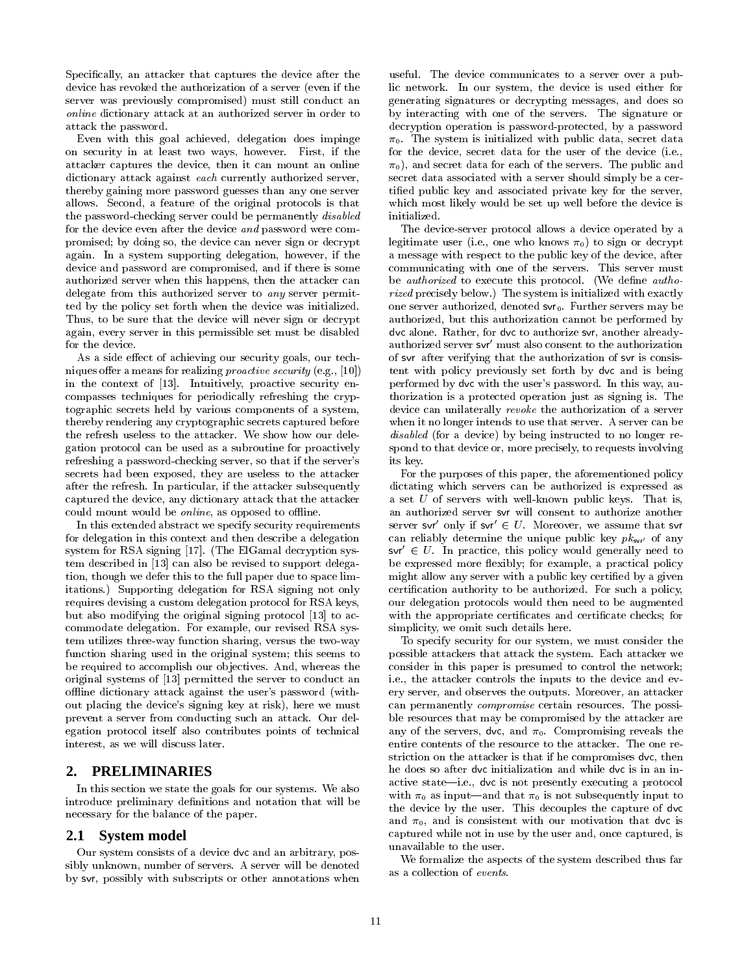Specically, an attacker that captures the device after the device has revoked the authorization of a server (even if the server was previously compromised) must still conduct an online dictionary attack at an authorized server in order to attack the password.

Even with this goal achieved, delegation does impinge on security in at least two ways, however. First, if the attacker captures the device, then it can mount an online dictionary attack against each currently authorized server, thereby gaining more password guesses than any one server allows. Second, a feature of the original protocols is that the password-checking server could be permanently *disabled* for the device even after the device and password were com promised; by doing so, the device can never sign or decrypt again. In a system supporting delegation, however, if the device and password are compromised, and if there is some authorized server when this happens, then the attacker can delegate from this authorized server to any server permitted by the policy set forth when the device was initialized. Thus, to be sure that the device will never sign or decrypt again, every server in this permissible set must be disabled for the device.

As a side effect of achieving our security goals, our techniques offer a means for realizing *proactive security* (e.g.,  $[10]$ ) in the context of [13]. Intuitively, proactive security en compasses techniques for periodically refreshing the cryptographic secrets held by various components of a system, thereby rendering any cryptographic secrets captured before the refresh useless to the attacker. We show how our delegation protocol can be used as a subroutine for proactively refreshing a password-checking server, so that if the server's secrets had been exposed, they are useless to the attacker after the refresh. In particular, if the attacker subsequently captured the device, any dictionary attack that the attacker could mount would be *online*, as opposed to offline.

In this extended abstract we specify security requirements for delegation in this context and then describe a delegation system for RSA signing [17]. (The ElGamal decryption system described in [13] can also be revised to support delegation, though we defer this to the full paper due to space limitations.) Supporting delegation for RSA signing not only requires devising a custom delegation protocol for RSA keys, but also modifying the original signing protocol [13] to accommodate delegation. For example, our revised RSA system utilizes three-way function sharing, versus the two-way function sharing used in the original system; this seems to be required to accomplish our ob jectives. And, whereas the original systems of [13] permitted the server to conduct an offline dictionary attack against the user's password (without placing the device's signing key at risk), here we must prevent a server from conducting such an attack. Our delegation protocol itself also contributes points of technical interest, as we will discuss later.

#### **2. PRELIMINARIES**

In this section we state the goals for our systems. We also introduce preliminary definitions and notation that will be necessary for the balance of the paper.

#### **2.1 System model**

Our system consists of a device dvc and an arbitrary, possibly unknown, number of servers. A server will be denoted by svr, possibly with subscripts or other annotations when useful. The device communicates to a server over a public network. In our system, the device is used either for generating signatures or decrypting messages, and does so by interacting with one of the servers. The signature or decryption operation is password-protected, by a password  $\pi_0$ . The system is initialized with public data, secret data for the device, secret data for the user of the device (i.e.,  $\pi_0$ , and secret data for each of the servers. The public and secret data associated with a server should simply be a certied public key and associated private key for the server, which most likely would be set up well before the device is initialized.

The device-server protocol allows a device operated by a legitimate user (i.e., one who knows  $\pi_0$ ) to sign or decrypt a message with respect to the public key of the device, after communicating with one of the servers. This server must be *authorized* to execute this protocol. (We define *autho*rized precisely below.) The system is initialized with exactly one server authorized, denoted  $\mathsf{svr}_0$ . Further servers may be authorized, but this authorization cannot be performed by dvc alone. Rather, for dvc to authorize svr, another alreadyauthorized server svr' must also consent to the authorization of svr after verifying that the authorization of svr is consistent with policy previously set forth by dvc and is being performed by dvc with the user's password. In this way, authorization is a protected operation just as signing is. The device can unilaterally revoke the authorization of a server when it no longer intends to use that server. A server can be disabled (for a device) by being instructed to no longer respond to that device or, more precisely, to requests involving its key.

For the purposes of this paper, the aforementioned policy dictating which servers can be authorized is expressed as a set U of servers with well-known public keys. That is, an authorized server svr will consent to authorize another server svr' only if svr'  $\in U$ . Moreover, we assume that svr can reliably determine the unique public key  $pk_{\text{svr}'}$  of any  $\mathsf{svr}' \in U$ . In practice, this policy would generally need to be expressed more flexibly; for example, a practical policy might allow any server with a public key certified by a given certication authority to be authorized. For such a policy, our delegation protocols would then need to be augmented with the appropriate certificates and certificate checks; for simplicity, we omit such details here.

To specify security for our system, we must consider the possible attackers that attack the system. Each attacker we consider in this paper is presumed to control the network; i.e., the attacker controls the inputs to the device and every server, and observes the outputs. Moreover, an attacker can permanently compromise certain resources. The possible resources that may be compromised by the attacker are any of the servers, dvc, and  $\pi_0$ . Compromising reveals the entire contents of the resource to the attacker. The one restriction on the attacker is that if he compromises dvc, then he does so after dvc initialization and while dvc is in an inactive state—i.e., dvc is not presently executing a protocol with  $\pi_0$  as input—and that  $\pi_0$  is not subsequently input to the device by the user. This decouples the capture of dvc and  $\pi_0$ , and is consistent with our motivation that dvc is captured while not in use by the user and, once captured, is unavailable to the user.

We formalize the aspects of the system described thus far as a collection of events.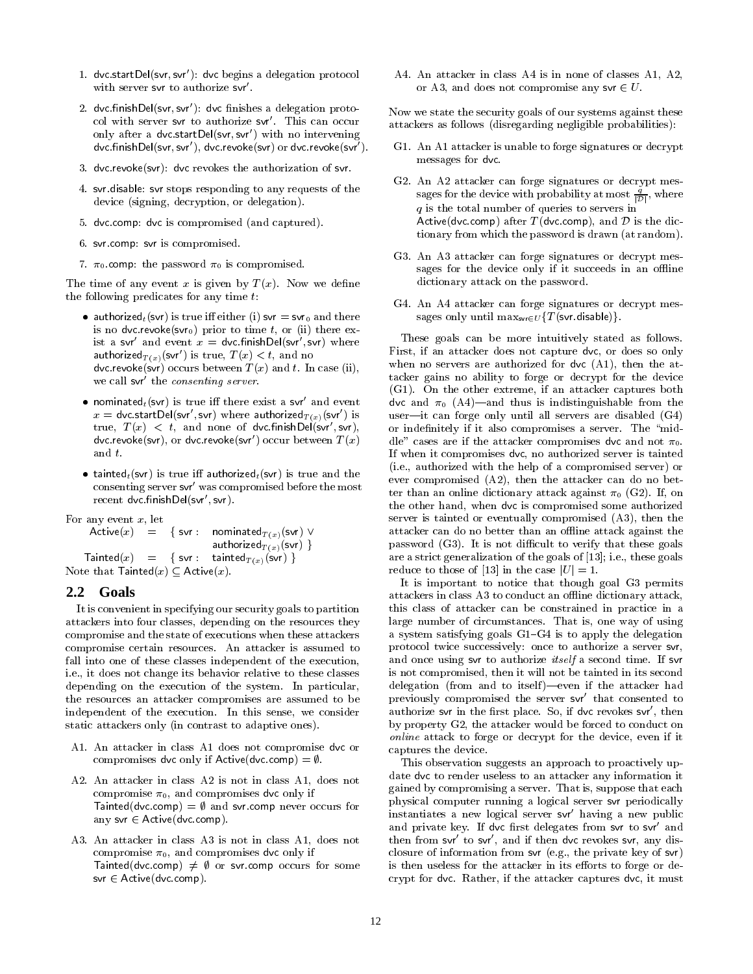- 1. dvc.startDel(svr, svr'): dvc begins a delegation protocol with server svr to authorize svr'.
- 2. dvc.finishDel(svr, svr'): dvc finishes a delegation protocol with server svr to authorize svr'. This can occur only after a dvc.startDel(svr, svr') with no intervening dvc.finishDel(svr, svr'), dvc.revoke(svr) or dvc.revoke(svr').
- 3. dvc:revoke(svr): dvc revokes the authorization of svr.
- 4. svr:disable: svr stops responding to any requests of the device (signing, decryption, or delegation).
- 5. dvc:comp: dvc is compromised (and captured).
- 6. svr:comp: svr is compromised.
- 7.  $\pi_0$  comp: the password  $\pi_0$  is compromised.

The time of any event x is given by  $T(x)$ . Now we define the following predicates for any time t:

- $\bullet$  authorized $_t$ (svr) is true in either (i) svr  $=$  svr $_0$  and there is no dvc.revoke(svr<sub>0</sub>) prior to time t, or (ii) there exist a svr' and event  $x =$  dvc.finishDel(svr', svr) where authorized $T(x)$ (svr') is true,  $T(x) < t$ , and no dvc.revoke(svr) occurs between  $T(x)$  and t. In case (ii), we call svr' the consenting server.
- $\bullet$  nominated $_t$ (svr) is true iff there exist a svr and event  $\qquad$  $x =$  dvc.startDel(svr', svr) where authorized $_{T(x)}$ (svr') is true,  $T(x)$  < t, and none of dvc.finishDel(svr', svr), dvc.revoke(svr), or dvc.revoke(svr') occur between  $T (x)$ and  $t$ .
- **•** tainted<sub>t</sub>(svr) is true in authorized<sub>t</sub>(svr) is true and the  $\qquad \qquad$ consenting server  $\mathsf{svr}'$  was compromised before the most recent dvc.finishDel(svr', svr).

For any event  $x$ , let

|                                                                |  |  | $\text{Active}(x) = \{ \text{svr}: \text{ noninated}_{T(x)}(\text{svr}) \vee \text{ }$ |
|----------------------------------------------------------------|--|--|----------------------------------------------------------------------------------------|
|                                                                |  |  | <code>authorized<math>_{T(x)}(\mathsf{svr})</math></code> }                            |
|                                                                |  |  | Tainted(x) = { svr : tainted $_{T(x)}$ (svr) }                                         |
| Note that $\mathsf{Tainted}(x) \subseteq \mathsf{Active}(x)$ . |  |  |                                                                                        |

#### **2.2 Goals**

It is convenient in specifying our security goals to partition attackers into four classes, depending on the resources they compromise and the state of executions when these attackers compromise certain resources. An attacker is assumed to fall into one of these classes independent of the execution, i.e., it does not change its behavior relative to these classes depending on the execution of the system. In particular, the resources an attacker compromises are assumed to be independent of the execution. In this sense, we consider static attackers only (in contrast to adaptive ones).

- A1. An attacker in class A1 does not compromise dvc or compromises dvc only if Active(dvc.comp) =  $\emptyset$ .
- A2. An attacker in class A2 is not in class A1, does not compromise  $\pi_0$ , and compromises dvc only if Tainted(dvc.comp) =  $\emptyset$  and svr.comp never occurs for any svr  $\in$  Active(dvc.comp).
- A3. An attacker in class A3 is not in class A1, does not compromise  $\pi_0$ , and compromises dvc only if Tainted(dvc.comp)  $\neq \emptyset$  or svr.comp occurs for some  $\mathsf{svr} \in \mathsf{Active}(\mathsf{dvc.comp}).$

A4. An attacker in class A4 is in none of classes A1, A2, or A3, and does not compromise any svr  $\in U$ .

Now we state the security goals of our systems against these attackers as follows (disregarding negligible probabilities):

- G1. An A1 attacker is unable to forge signatures or decrypt messages for dvc.
- G2. An A2 attacker can forge signatures or decrypt messages for the device with probability at most  $\frac{1}{|{\cal D}|},$  where q is the total number of queries to servers in Active(dvc.comp) after  $T$  (dvc.comp), and  $D$  is the dictionary from which the password is drawn (at random).
- G3. An A3 attacker can forge signatures or decrypt messages for the device only if it succeeds in an offline dictionary attack on the password.
- G4. An A4 attacker can forge signatures or decrypt messages only until  $\max_{\mathsf{svr}\in U} \{T(\mathsf{svr}.\mathsf{disable})\}.$

These goals can be more intuitively stated as follows. First, if an attacker does not capture dvc, or does so only when no servers are authorized for dvc (A1), then the attacker gains no ability to forge or decrypt for the device (G1). On the other extreme, if an attacker captures both dvc and  $\pi_0$  (A4)—and thus is indistinguishable from the user—it can forge only until all servers are disabled  $(G4)$ or indefinitely if it also compromises a server. The "middle" cases are if the attacker compromises dvc and not  $\pi_0$ . If when it compromises dvc, no authorized server is tainted (i.e., authorized with the help of a compromised server) or ever compromised (A2), then the attacker can do no better than an online dictionary attack against  $\pi_0$  (G2). If, on the other hand, when dvc is compromised some authorized server is tainted or eventually compromised (A3), then the attacker can do no better than an offline attack against the password  $(G3)$ . It is not difficult to verify that these goals are a strict generalization of the goals of [13]; i.e., these goals reduce to those of [13] in the case  $|U|=1$ .

It is important to notice that though goal G3 permits attackers in class A3 to conduct an offline dictionary attack, this class of attacker can be constrained in practice in a large number of circumstances. That is, one way of using a system satisfying goals G1-G4 is to apply the delegation protocol twice successively: once to authorize a server svr, and once using svr to authorize itself a second time. If svr is not compromised, then it will not be tainted in its second delegation (from and to itself)-even if the attacker had previously compromised the server  $sv'$  that consented to authorize svr in the first place. So, if dvc revokes  $svr'$ , then by property G2, the attacker would be forced to conduct on online attack to forge or decrypt for the device, even if it captures the device.

This observation suggests an approach to proactively update dvc to render useless to an attacker any information it gained by compromising a server. That is, suppose that each physical computer running a logical server svr periodically instantiates a new logical server svr' having a new public and private key. If dvc first delegates from svr to svr' and then from svr' to svr', and if then dvc revokes svr, any disclosure of information from svr (e.g., the private key of svr) is then useless for the attacker in its efforts to forge or decrypt for dvc. Rather, if the attacker captures dvc, it must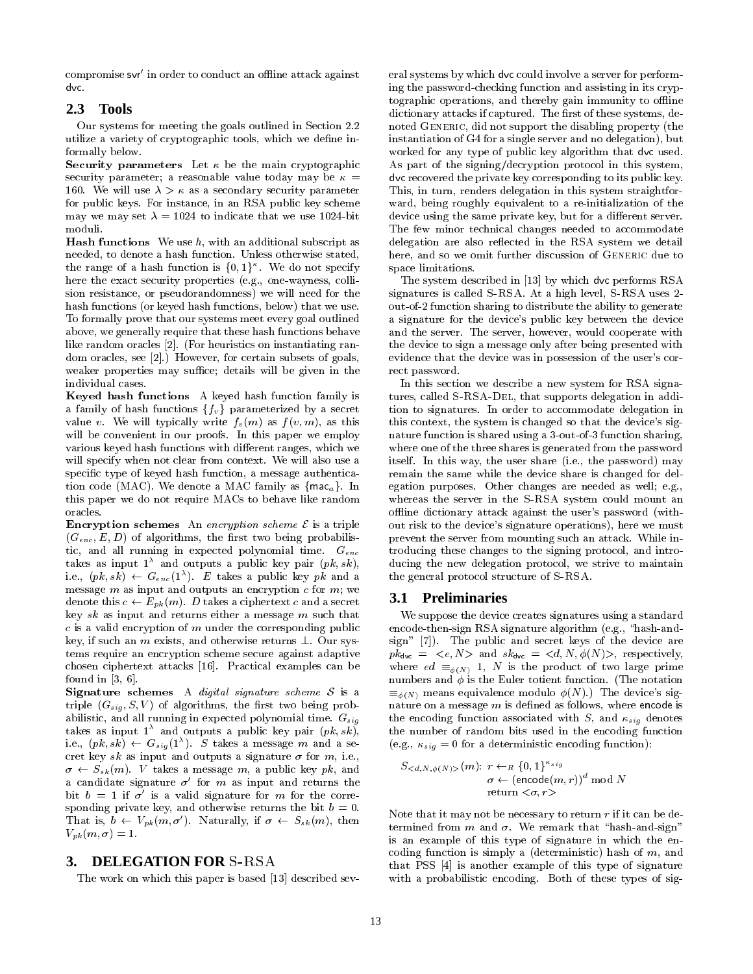compromise svr' in order to conduct an offline attack against dvc.

### **2.3 Tools**

Our systems for meeting the goals outlined in Section 2.2 utilize a variety of cryptographic tools, which we define informally below. formally below.

Security parameters Let be the main cryptographic security parameter; a reasonable value today may be  $\kappa =$ 160. We will use  $\lambda > \kappa$  as a secondary security parameter for public keys. For instance, in an RSA public key scheme may we may set  $\lambda = 1024$  to indicate that we use 1024-bit moduli.

**Hash functions** we use  $n$ , with an additional subscript as  $\alpha$ needed, to denote a hash function. Unless otherwise stated, the range of a hash function is  $\{0,1\}$  . We do not specify spa here the exact security properties (e.g., one-wayness, collision resistance, or pseudorandomness) we will need for the hash functions (or keyed hash functions, below) that we use. To formally prove that our systems meet every goal outlined above, we generally require that these hash functions behave like random oracles [2]. (For heuristics on instantiating random oracles, see [2].) However, for certain subsets of goals, weaker properties may suffice; details will be given in the individual cases.

Keyed hash functions A keyed hash function family is a family of hash functions  $\{f_v\}$  parameterized by a secret value v. We will typically write  $f_v(m)$  as  $f(v,m)$ , as this will be convenient in our proofs. In this paper we employ various keyed hash functions with different ranges, which we will specify when not clear from context. We will also use a specific type of keyed hash function, a message authentication code (MAC). We denote a MAC family as  $\{mac_a\}$ . In this paper we do not require MACs to behave like random oracles.

**Encryption schemes** An encryption scheme  $\epsilon$  is a triple  $\epsilon$  $(G_{enc}, E, D)$  of algorithms, the first two being probabilistic, and all running in expected polynomial time.  $G_{enc}$ takes as input 1 and outputs a public key pair  $(\mathit{pk}, \mathit{sk})$ , i.e.,  $\{p\kappa, s\kappa\} \leftarrow G_{enc}(1)$ . E takes a public key  $p\kappa$  and a the message m as input and outputs an encryption c for m; we<br>denote this  $c \leftarrow E_1(m)$ . D takes a cinhertext c and a secret 3.1 denote this  $c \leftarrow E_{pk}(m)$ . D takes a ciphertext c and a secret key  $sk$  as input and returns either a message  $m$  such that  $c$  is a valid encryption of  $m$  under the corresponding public key, if such an m exists, and otherwise returns  $\perp$ . Our systems require an encryption scheme secure against adaptive chosen ciphertext attacks [16]. Practical examples can be found in  $[3, 6]$ .

**Signature schemes** A *aigual signature scheme*  $S$  is a  $\equiv$ triple  $(G_{sig}, S, V)$  of algorithms, the first two being probabilistic, and all running in expected polynomial time.  $G_{sig}$ takes as input 1 and outputs a public key pair  $(\bar{p}\kappa, s\kappa)$ , 1.e.,  $(p\kappa, s\kappa) \leftarrow G_{sig}(1)$ . S takes a message m and a secret key sk as input and outputs a signature  $\sigma$  for  $m$ , i.e.,  $\sigma \leftarrow S_{sk}(m)$ . V takes a message m, a public key pk, and a candidate signature  $\sigma'$  for m as input and returns the bit  $b = 1$  if  $\sigma'$  is a valid signature for m for the corresponding private key, and otherwise returns the bit  $b = 0$ . That is,  $b \leftarrow V_{nk}(m, \sigma')$ . Naturally, if  $\sigma \leftarrow S_{sk}(m)$ , then  $V_{pk}(m, \sigma) = 1.$ 

# **3. DELEGATION FOR** S-RSA

The work on which this paper is based [13] described sev-

eral systems by which dvc could involve a server for performing the password-checking function and assisting in its cryptographic operations, and thereby gain immunity to offline dictionary attacks if captured. The first of these systems, denoted GENERIC, did not support the disabling property (the instantiation of G4 for a single server and no delegation), but worked for any type of public key algorithm that dvc used. As part of the signing/decryption protocol in this system, dvc recovered the private key corresponding to its public key. This, in turn, renders delegation in this system straightfor ward, being roughly equivalent to a re-initialization of the device using the same private key, but for a different server. The few minor technical changes needed to accommodate delegation are also reflected in the RSA system we detail here, and so we omit further discussion of GENERIC due to space limitations.

The system described in [13] by which dvc performs RSA signatures is called S-RSA. At a high level, S-RSA uses 2 out-of-2 function sharing to distribute the ability to generate a signature for the device's public key between the device and the server. The server, however, would cooperate with the device to sign a message only after being presented with evidence that the device was in possession of the user's correct password.

In this section we describe a new system for RSA signatures, called S-RSA-Del, that supports delegation in addition to signatures. In order to accommodate delegation in this context, the system is changed so that the device's signature function is shared using a 3-out-of-3 function sharing, where one of the three shares is generated from the password itself. In this way, the user share (i.e., the password) may remain the same while the device share is changed for delegation purposes. Other changes are needed as well; e.g., whereas the server in the S-RSA system could mount an offline dictionary attack against the user's password (without risk to the device's signature operations), here we must prevent the server from mounting such an attack. While introducing these changes to the signing protocol, and introducing the new delegation protocol, we strive to maintain the general protocol structure of S-RSA.

#### **3.1 Preliminaries**

We suppose the device creates signatures using a standard encode-then-sign RSA signature algorithm (e.g., "hash-andsign" [7]). The public and secret keys of the device are  $pk_{\text{dvc}} = \langle e, N \rangle$  and  $sk_{\text{dvc}} = \langle d, N, \phi(N) \rangle$ , respectively, where  $ed \equiv_{\phi(N)} 1$ , N is the product of two large prime numbers and  $\phi$  is the Euler totient function. (The notation  $\equiv_{\phi(N)}$  means equivalence modulo  $\phi(N)$ .) The device's signature on a message  $m$  is defined as follows, where encode is the encoding function associated with S, and  $\kappa_{sig}$  denotes the number of random bits used in the encoding function (e.g.,  $\kappa_{sig} = 0$  for a deterministic encoding function):

$$
S_{}(m)\colon\, r \leftarrow_R \{0,1\}^{\kappa_{sig}} \\\quad \sigma \leftarrow (\operatorname{encode}(m,r))^d \,\, \text{mod}\,\, N \\ \quad \text{return} \, <\!\sigma, r\!\!>
$$

Note that it may not be necessary to return  $r$  if it can be determined from m and  $\sigma$ . We remark that "hash-and-sign" is an example of this type of signature in which the en coding function is simply a (deterministic) hash of  $m$ , and that PSS [4] is another example of this type of signature with a probabilistic encoding. Both of these types of sig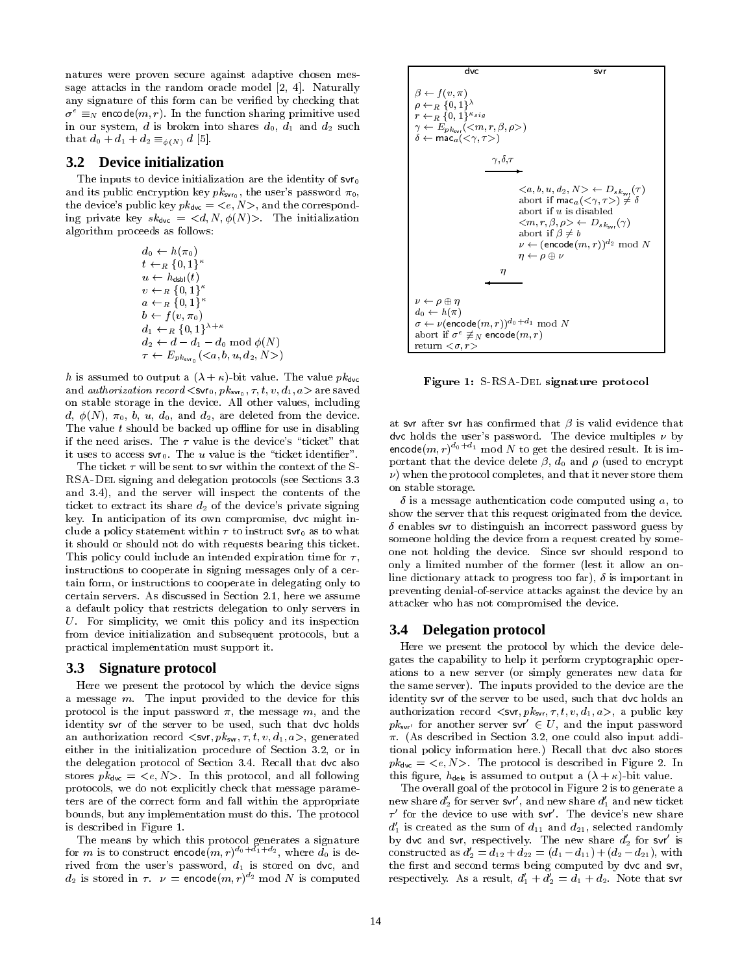natures were proven secure against adaptive chosen mes sage attacks in the random oracle model [2, 4]. Naturally any signature of this form can be veried by checking that  $\sigma^e \equiv_N \text{encode}(m, r)$ . In the function sharing primitive used in our system, d is broken into shares  $d_0$ ,  $d_1$  and  $d_2$  such that  $d_0 + d_1 + d_2 \equiv_{\phi(N)} d$  [5].

## **3.2 Device initialization**

The inputs to device initialization are the identity of  $\mathsf{svr}_0$ and its public encryption key  $pk_{\text{svr}_0}$ , the user's password  $\pi_0$ , the device's public key  $pk_{\text{dvc}} = \langle e, N \rangle$ , and the corresponding private key  $sk_{\text{dyc}} = \langle d, N, \phi(N) \rangle$ . The initialization algorithm proceeds as follows:

$$
d_0 \leftarrow h(\pi_0)
$$
  
\n
$$
t \leftarrow_R \{0, 1\}^{\kappa}
$$
  
\n
$$
u \leftarrow h_{\text{dsbl}}(t)
$$
  
\n
$$
v \leftarrow_R \{0, 1\}^{\kappa}
$$
  
\n
$$
a \leftarrow_R \{0, 1\}^{\kappa}
$$
  
\n
$$
b \leftarrow f(v, \pi_0)
$$
  
\n
$$
d_1 \leftarrow_R \{0, 1\}^{\lambda + \kappa}
$$
  
\n
$$
d_2 \leftarrow d - d_1 - d_0 \mod \phi(N)
$$
  
\n
$$
\tau \leftarrow E_{p_{\text{K} \text{sv}_0}} (\langle a, b, u, d_2, N \rangle)
$$

h is assumed to output a  $(\lambda + \kappa)$ -bit value. The value  $pk_{\text{dvc}}$ and *authorization record*  $\langle \text{svr}_0, pk_{\text{svr}_0}, \tau, t, v, d_1, a \rangle$  are saved on stable storage in the device. All other values, including  $d, \phi(N), \pi_0, b, u, d_0, \text{ and } d_2, \text{ are deleted from the device.}$ The value t should be backed up offline for use in disabling if the need arises. The  $\tau$  value is the device's "ticket" that it uses to access  $svr_0$ . The u value is the "ticket identifier".

The ticket  $\tau$  will be sent to svr within the context of the S-RSA-Del signing and delegation protocols (see Sections 3.3 and 3.4), and the server will inspect the contents of the ticket to extract its share  $d_2$  of the device's private signing key. In anticipation of its own compromise, dvc might include a policy statement within  $\tau$  to instruct svr<sub>0</sub> as to what it should or should not do with requests bearing this ticket. This policy could include an intended expiration time for  $\tau$ , instructions to cooperate in signing messages only of a certain form, or instructions to cooperate in delegating only to certain servers. As discussed in Section 2.1, here we assume a default policy that restricts delegation to only servers in U. For simplicity, we omit this policy and its inspection from device initialization and subsequent protocols, but a practical implementation must support it.

#### **3.3 Signature protocol**

Here we present the protocol by which the device signs a message m. The input provided to the device for this protocol is the input password  $\pi$ , the message  $m$ , and the identity svr of the server to be used, such that dvc holds an authorization record  $\langle$ svr,  $pk_{\text{svr}}$ ,  $\tau$ ,  $t$ ,  $v$ ,  $d_1$ ,  $a$ , generated either in the initialization procedure of Section 3.2, or in the delegation protocol of Section 3.4. Recall that dvc also stores  $pk_{\text{dyc}} = \langle e, N \rangle$ . In this protocol, and all following protocols, we do not explicitly check that message parameters are of the correct form and fall within the appropriate bounds, but any implementation must do this. The protocol is described in Figure 1.

for m is to construct encode $(m, r)^{d_0+d_1+d_2}$ , where  $\ddot{d_0}$  is derived from the user's password,  $d_1$  is stored on dvc, and  $d_2$  is stored in  $\tau$ .  $\nu$  = encode( $m, r$ )<sup> $d_2$ </sup> mod N is computed



Figure 1: S-RSA-Del signature protocol

at svr after svr has confirmed that  $\beta$  is valid evidence that dvc holds the user's password. The device multiples  $\nu$  by encode $(m, r)^{d_0+d_1}$  mod N to get the desired result. It is important that the device delete  $\beta$ ,  $d_0$  and  $\rho$  (used to encrypt  $\nu)$  when the protocol completes, and that it never store them on stable storage.

 $\delta$  is a message authentication code computed using  $a$ , to show the server that this request originated from the device.  $\delta$  enables svr to distinguish an incorrect password guess by someone holding the device from a request created by some one not holding the device. Since svr should respond to only a limited number of the former (lest it allow an online dictionary attack to progress too far),  $\delta$  is important in preventing denial-of-service attacks against the device by an attacker who has not compromised the device.

#### **3.4 Delegation protocol**

Here we present the protocol by which the device delegates the capability to help it perform cryptographic operations to a new server (or simply generates new data for the same server). The inputs provided to the device are the identity svr of the server to be used, such that dvc holds an authorization record  $\langle$ svr,  $pk_{\text{svr}}$ ,  $\tau$ ,  $t$ ,  $v$ ,  $d_1$ ,  $a$ , a public key  $pk_{\mathsf{svr}'}$  for another server  $\mathsf{svr}' \in U$ , and the input password  $\pi$ . (As described in Section 3.2, one could also input additional policy information here.) Recall that dvc also stores  $pk_{\text{dyc}} = \langle e, N \rangle$ . The protocol is described in Figure 2. In this figure,  $h_{\text{delete}}$  is assumed to output a  $(\lambda + \kappa)$ -bit value.

The overall goal of the protocol in Figure 2 is to generate a new share  $a_2$  for server svr , and new share  $a_1$  and new ticket  $\tau'$  for the device to use with svr'. The device's new share  $a_1$  is created as the sum of  $a_{11}$  and  $a_{21}$ , selected randomly by dvc and svr, respectively. The new share  $a_2$  for svr is constructed as  $a_2 = a_{12} + a_{22} = (a_1 - a_{11}) + (a_2 - a_{21})$ , with the first and second terms being computed by dvc and svr, respectively. As a result,  $a_1 + a_2 = a_1 + a_2$ . Note that svr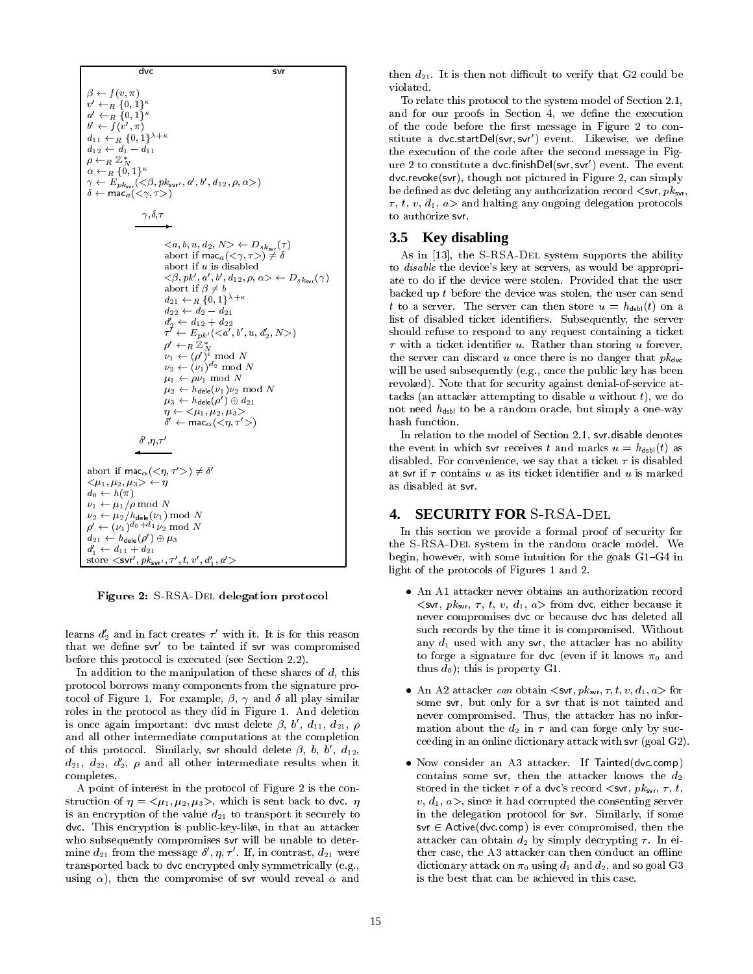$$
d\nu c\n y\n+ f (v, π)\n v' ← R {0, 1}^k\n a' ← R {0, 1}^k\n b' ← f (v', π)\n d11 ← A1 - d11\n d12 ← d1 - d11\n d13 ← R ZN\n α ← R {0, 1}^k\n γ ← Ep k_{sw}( $<$  β, p k_{sw}, a', b', d<sub>12</sub>, ρ, α>)\n δ ← mac<sub>a</sub>( $<$  γ, τ>)\n γ, δ, τ\n γ, δ, τ\n ζ, a, b, u, d<sub>2</sub>, N > ← D<sub>sk_{sw</sub>(τ)\n aborit if mac<sub>a</sub>( $<$ γ, τ>) ≠ δ\n aborit if a is disabled\n  $<$  β, p k', a', b', d<sub>12</sub>, ρ, α > ← D<sub>sk_{sw</sub>(γ)\n aborit if β ≠ b\n d<sub>21</sub> ← R {0, 1}^k + k\n d<sub>22</sub> ← d<sub>2</sub> - d<sub>21</sub>\n d'<sub>2</sub> ← d<sub>2</sub> + d<sub>22</sub>\n r' ← E<sub>pk'</sub>( $<$  a', b', u, d'<sub>2</sub>, N >)\n β' ← R Z<sub>N</sub>  
\n β' ← R Z<sub>N</sub>  
\n β' + c(1) 1^k\n p' ← p' + (1)^k\n p' ← p' + (1)^k\n q' + (1)^k\n q' + (1)^k\n q' + (1)^k\n q' + (1)^k\n q' + (1)^k\n q' + (1)^k\n q' + (1)^k\n q' + (1)^k\n q' + (1)^k\n q' + (1)^k\n q' + (1)^k\n q' + (1)^k\n q' + (1)^k\n q' + (1)^k\n q' + (1)^k\n q' + (1)^k\n q' + (1)^k\n q' + (1)^k\n q' + (1)^k\n q' + (1)^k\n q' + (1)^k\n q' + (1)^k\n q' + (1)^k\n q' + (1)^k\n q' + (1)^k
$$

Figure 2: S-RSA-Del delegation protocol

learns  $a_2$  and in fact creates  $\tau$  with it. It is for this reason that we define  $sv'$  to be tainted if svr was compromised before this protocol is executed (see Section 2.2).

In addition to the manipulation of these shares of  $d$ , this protocol borrows many components from the signature protocol of Figure 1. For example,  $\beta$ ,  $\gamma$  and  $\delta$  all play similar roles in the protocol as they did in Figure 1. And deletion is once again important: dvc must delete  $\beta,~b$  ,  $a_{11},~a_{21},~\rho$ and all other intermediate computations at the completion of this protocol. Similarly, svr should delete  $\beta$ ,  $b$ ,  $b$ ,  $a_{12}$ ,  $a_{21}, a_{22}, a_{2}, \rho$  and all other intermediate results when it completes.

A point of interest in the protocol of Figure 2 is the construction of  $\eta = \langle \mu_1, \mu_2, \mu_3 \rangle$ , which is sent back to dvc.  $\eta$ is an encryption of the value  $d_{21}$  to transport it securely to dvc. This encryption is public-key-like, in that an attacker who subsequently compromises svr will be unable to determine  $a_{21}$  from the message  $o$  ,  $\eta, \tau$  . If, in contrast,  $a_{21}$  were transported back to dvc encrypted only symmetrically (e.g., using  $\alpha$ ), then the compromise of svr would reveal  $\alpha$  and

then  $d_{21}$ . It is then not difficult to verify that G2 could be violated.

To relate this protocol to the system model of Section 2.1, and for our proofs in Section 4, we define the execution of the code before the first message in Figure 2 to constitute a dvc.startDel(svr, svr') event. Likewise, we define the execution of the code after the second message in Figure 2 to constitute a dvc.finishDel(svr, svr') event. The event dvc:revoke(svr), though not pictured in Figure 2, can simply be defined as dvc deleting any authorization record  $\langle$  svr,  $pk_{\text{svr}}$ .  $\tau$ , t, v,  $d_1$ ,  $a >$  and halting any ongoing delegation protocols to authorize svr.

## **3.5 Key disabling**

As in [13], the S-RSA-Del system supports the ability to disable the device's key at servers, as would be appropriate to do if the device were stolen. Provided that the user backed up  $t$  before the device was stolen, the user can send t to a server. The server can then store  $u = h_{dsbl}(t)$  on a list of disabled ticket identifiers. Subsequently, the server should refuse to respond to any request containing a ticket  $\tau$  with a ticket identifier u. Rather than storing u forever, the server can discard u once there is no danger that  $pk_{\text{dvc}}$ will be used subsequently (e.g., once the public key has been revoked). Note that for security against denial-of-service attacks (an attacker attempting to disable  $u$  without  $t$ ), we do not need  $h_{dsbl}$  to be a random oracle, but simply a one-way hash function.

In relation to the model of Section 2.1, svr.disable denotes the event in which svr receives t and marks  $u = h_{dsbl}(t)$  as disabled. For convenience, we say that a ticket  $\tau$  is disabled at svr if  $\tau$  contains u as its ticket identifier and u is marked as disabled at svr.

## **4. SECURITY FOR** S-RSA-Del

In this section we provide a formal proof of security for the S-RSA-Del system in the random oraclemodel. We begin, however, with some intuition for the goals  $G1-G4$  in light of the protocols of Figures 1 and 2.

- An A1 attacker never obtains an authorization record  $\langle$ svr,  $pk_{\text{svr}}, \tau, t, v, d_1, a \rangle$  from dvc, either because it never compromises dvc or because dvc has deleted all such records by the time it is compromised. Without any  $d_1$  used with any svr, the attacker has no ability to forge a signature for dvc (even if it knows  $\pi_0$  and thus  $d_0$ ); this is property G1.
- An Az attacker can obtain  $\lt$  svr,  $p_{\kappa_{\text{SVr}}}$ ,  $\tau$ ,  $i$ ,  $v$ ,  $a_1$ ,  $a >$  for some svr, but only for a svr that is not tainted and never compromised. Thus, the attacker has no information about the  $d_2$  in  $\tau$  and can forge only by succeeding in an online dictionary attack with svr (goal G2).
- $\bullet$  Now consider an A3 attacker. If Tainted(dvc.comp) contains some svr, then the attacker knows the  $d_2$ stored in the ticket  $\tau$  of a dvc's record  $\langle \text{svr}, p_{\text{svr}}, \tau, t, v, d_1, a \rangle$ , since it had corrupted the consenting server in the delegation protocol for svr. Similarly, if some  $svr \in$  Active(dvc.comp) is ever compromised, then the attacker can obtain  $d_2$  by simply decrypting  $\tau$ . In either case, the A3 attacker can then conduct an offline dictionary attack on  $\pi_0$  using  $d_1$  and  $d_2$ , and so goal G3 is the best that can be achieved in this case.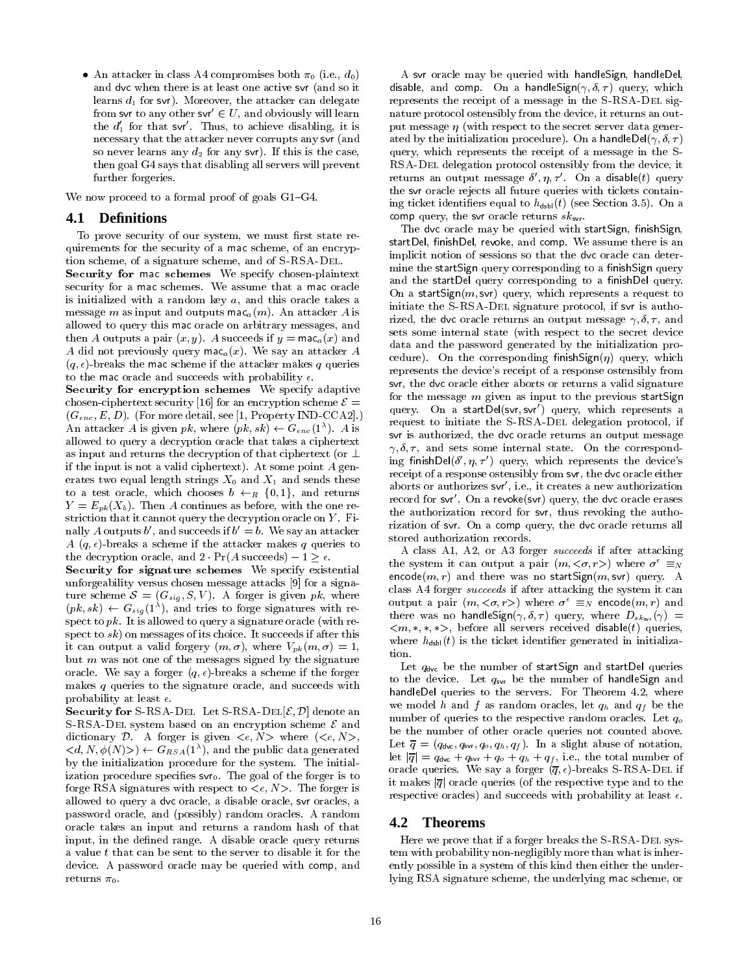• An attacker in class A4 compromises both  $\pi_0$  (i.e.,  $a_0$ ) and dvc when there is at least one active svr (and so it learns  $d_1$  for svr). Moreover, the attacker can delegate from svr to any other svr'  $\in U$ , and obviously will learn the  $a_1$  for that svr. Thus, to achieve disabiling, it is  $\qquad \qquad$  I necessary that the attacker never corrupts any svr(and so never learns any  $d_2$  for any svr). If this is the case, then goal G4 says that disabling all servers will prevent further forgeries.

We now proceed to a formal proof of goals  $G1-G4$ .

#### **4.1 Definitions**

To prove security of our system, we must first state requirements for the security of a mac scheme, of an encryption scheme, of a signature scheme, and of S-RSA-Del.

Security for mac schemes of machinesis and plainters when security for a mac schemes. We assume that a mac oracle is initialized with a random key  $a$ , and this oracle takes a message m as input and outputs mac<sub>a</sub> $(m)$ . An attacker A is allowed to query this mac oracle on arbitrary messages, and then A outputs a pair  $(x, y)$ . A succeeds if  $y = max_a(x)$  and A did not previously query mac<sub>a</sub>(x). We say an attacker A  $(q, \epsilon)$ -breaks the mac scheme if the attacker makes q queries to the mac oracle and succeeds with probability  $\epsilon$ .

Security for encryption schemes We specify adaptive chosen-ciphertext security [16] for an encryption scheme  $\mathcal{E} =$  $(G_{enc}, E, D)$ . (For more detail, see [1, Property IND-CCA2].) An attacker A is given  $p_k$ , where  $(p_k, s_k) \leftarrow G_{enc}(1)$ . A is allowed to query a decryption oracle that takes a ciphertext as input and returns the decryption of that ciphertext (or  $\perp$ if the input is not a valid ciphertext). At some point  $A$  generates two equal length strings  $X_0$  and  $X_1$  and sends these to a test oracle, which chooses  $b \leftarrow_R \{0, 1\}$ , and returns  $Y = E_{pk}(X_b)$ . Then A continues as before, with the one restriction that it cannot query the decryption oracle on  $Y$ . Finally  $A$  outputs  $b$  , and succeeds if  $b\ =\ b$ . We say an attacker A  $(q, \epsilon)$ -breaks a scheme if the attacker makes q queries to the decryption oracle, and 2  $Pr(A \text{ succeeds}) - 1 \geq \epsilon$ .

Security for signature schemes We specify existential unforgeability versus chosen message attacks [9] for a signature scheme  $S = (G_{sig}, S, V)$ . A forger is given  $pk$ , where  $(p\kappa, s\kappa) \leftarrow G_{sig}(1^{\circ})$ , and tries to forge signatures with respect to  $pk$ . It is allowed to query a signature oracle (with respect to  $sk$ ) on messages of its choice. It succeeds if after this it can output a valid forgery  $(m, \sigma)$ , where  $V_{pk}(m, \sigma) = 1$ , but  $m$  was not one of the messages signed by the signature oracle. We say a forger  $(q, \epsilon)$ -breaks a scheme if the forger makes  $q$  queries to the signature oracle, and succeeds with probability at least  $\epsilon$ .

Security for S-RSA-Del Let S-RSA-Del $[\varepsilon, \nu]$  denote an S-RSA-DEL system based on an encryption scheme  $\mathcal E$  and dictionary D. A forger is given  $\langle e, N \rangle$  where  $\langle \langle e, N \rangle$ ,  $\langle a, N, \phi(N) \rangle$   $\leftrightarrow$  G<sub>RSA</sub>(1), and the public data generated  $\Box$ by the initialization procedure for the system. The initialization procedure specifies  $svr_0$ . The goal of the forger is to forge RSA signatures with respect to  $\langle e, N \rangle$ . The forger is allowed to query a dvc oracle, a disable oracle, svr oracles, a password oracle, and (possibly) random oracles. A random oracle takes an input and returns a random hash of that input, in the defined range. A disable oracle query returns a value t that can be sent to the server to disable it for the device. A password oracle may be queried with comp, and returns  $\pi_0$ .

A svr oracle may be queried with handleSign, handleDel, disable, and comp. On a handle Sign( $\gamma$ ,  $\delta$ ,  $\tau$ ) query, which represents the receipt of a message in the S-RSA-Del signature protocol ostensibly from the device, it returns an output message  $\eta$  (with respect to the secret server data generated by the initialization procedure). On a handle  $Del(\gamma, \delta, \tau)$ query, which represents the receipt of a message in the S-RSA-Del delegation protocol ostensibly from the device, it returns an output message  $o$  ,  $\eta, \tau$  . On a disable(t) query the svr oracle rejects all future queries with tickets containing ticket identifiers equal to  $h_{\text{dsb}}(t)$  (see Section 3.5). On a comp query, the svr oracle returns  $sk_{\text{svr}}$ .

The dvc oracle may be queried with startSign, finishSign, startDel, finishDel, revoke, and comp. We assume there is an implicit notion of sessions so that the dvc oracle can determine the startSign query corresponding to a finishSign query and the startDel query corresponding to a finishDel query. On a startSign $(m, \text{svr})$  query, which represents a request to initiate the S-RSA-Del signature protocol, if svr is authorized, the dvc oracle returns an output message  $\gamma$ ,  $\delta$ ,  $\tau$ , and sets some internal state (with respect to the secret device data and the password generated by the initialization procedure). On the corresponding finish Sign( $\eta$ ) query, which represents the device's receipt of a response ostensibly from svr, the dvc oracle either aborts or returns a valid signature for the message  $m$  given as input to the previous startSign query. On a startDel(svr, svr') query, which represents a request to initiate the S-RSA-Del delegation protocol, if svr is authorized, the dvc oracle returns an output message  $\gamma$ ,  $\delta$ ,  $\tau$ , and sets some internal state. On the corresponding finishDel( $\delta', \eta, \tau'$ ) query, which represents the device's receipt of a response ostensibly from svr, the dvc oracle either aborts or authorizes svr', i.e., it creates a new authorization record for svr'. On a revoke(svr) query, the dvc oracle erases the authorization record for svr, thus revoking the authorization of svr. On a comp query, the dvc oracle returns all stored authorization records.

A class A1, A2, or A3 forger succeeds if after attacking the system it can output a pair  $(m, <\sigma, r>)$  where  $\sigma^e \equiv_N$ encode $(m, r)$  and there was no startSign $(m, svr)$  query. A class A4 forger succeeds if after attacking the system it can output a pair  $(m, <\sigma, r>)$  where  $\sigma^e \equiv_N \text{encode}(m, r)$  and there was no handleSign( $\gamma$ ,  $\delta$ ,  $\tau$ ) query, where  $D_{sk_{\text{svr}}}(\gamma)$  =  $\langle m, *, *, * \rangle$ , before all servers received disable(t) queries, where  $h_{\text{dsb}}(t)$  is the ticket identifier generated in initialization.

Let  $q_{\text{dvc}}$  be the number of startSign and startDel queries to the device. Let  $q_{\text{svr}}$  be the number of handleSign and handleDel queries to the servers. For Theorem 4.2, where we model h and f as random oracles, let  $q_h$  and  $q_f$  be the number of queries to the respective random oracles. Let  $q_o$ be the number of other oracle queries not counted above. Let  $\overline{q} = (q_{\text{dyc}}, q_{\text{svr}}, q_o, q_h, q_f)$ . In a slight abuse of notation, let  $|\overline{q}| = q_{\text{dyc}} + q_{\text{svr}} + q_o + q_h + q_f$ , i.e., the total number of oracle queries. We say a forger  $(\overline{q}, \epsilon)$ -breaks S-RSA-DEL if it makes  $|\overline{q}|$  oracle queries (of the respective type and to the respective oracles) and succeeds with probability at least  $\epsilon$ .

#### **4.2 Theorems**

Here we prove that if a forger breaks the S-RSA-Del system with probability non-negligibly more than what is inher ently possible in a system of this kind then either the underlying RSA signature scheme, the underlying mac scheme, or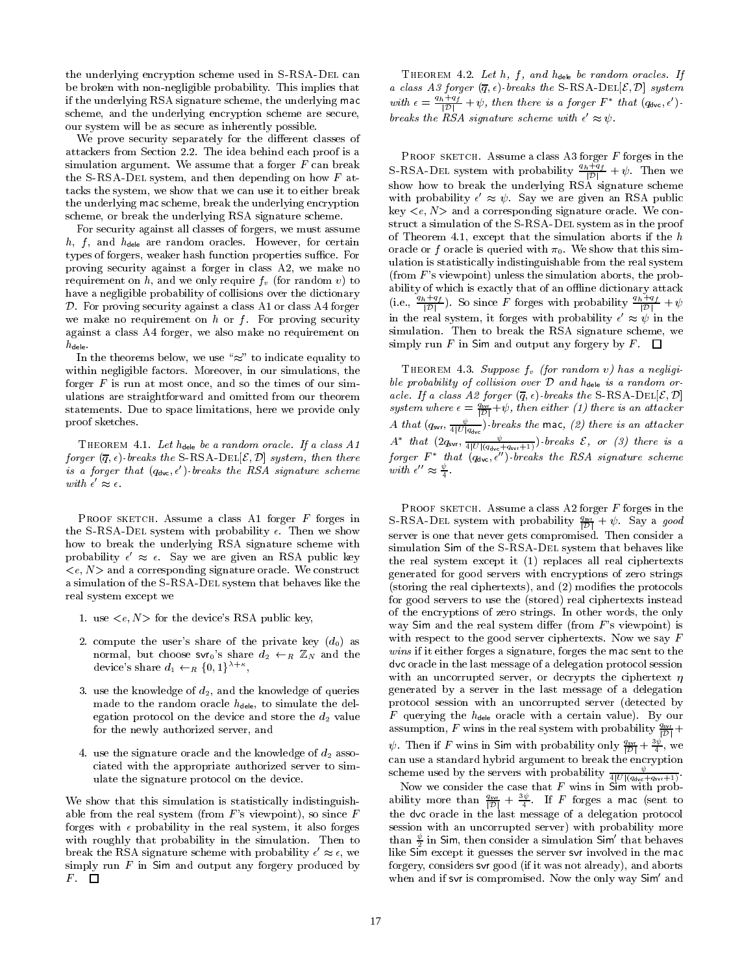the underlying encryption scheme used in S-RSA-Del can be broken with non-negligible probability. This implies that if the underlying RSA signature scheme, the underlying mac scheme, and the underlying encryption scheme are secure, our system will be as secure as inherently possible.

We prove security separately for the different classes of attackers from Section 2.2. The idea behind each proof is a simulation argument. We assume that a forger  $F$  can break the S-RSA-DEL system, and then depending on how  $F$  attacks the system, we show that we can use it to either break the underlying mac scheme, break the underlying encryption scheme, or break the underlying RSA signature scheme.

For security against all classes of forgers, we must assume  $h, f,$  and  $h_{\text{delete}}$  are random oracles. However, for certain types of forgers, weaker hash function properties suffice. For proving security against a forger in class A2, we make no requirement on h, and we only require  $f_v$  (for random v) to have a negligible probability of collisions over the dictionary D. For proving security against a class A1 or class A4 forger we make no requirement on  $h$  or  $f$ . For proving security against a class A4 forger, we also make no requirement on  $h_{\text{delete}}$ .

In the theorems below, we use " $\approx$ " to indicate equality to within negligible factors. Moreover, in our simulations, the forger  $F$  is run at most once, and so the times of our simulations are straightforward and omitted from our theorem statements. Due to space limitations, here we provide only proof sketches.

THEOREM 4.1. Let  $h_{\text{delete}}$  be a random oracle. If a class A1 forger  $(\overline{q}, \epsilon)$ -breaks the S-RSA-DEL[E, D] system, then there is a forger that  $(q_{\text{dvc}}, \epsilon')$ -breaks the RSA signature scheme with  $\epsilon ~\approx \epsilon$ .

PROOF SKETCH. Assume a class A1 forger  $F$  forges in the S-RSA-DEL system with probability  $\epsilon$ . Then we show how to break the underlying RSA signature scheme with probability  $\epsilon \approx \epsilon$ . Say we are given an RSA public key  ${}_{\pm}{}_{\rm h}{}_{\alpha}$  $\langle e, N \rangle$  and a corresponding signature oracle. We construct a simulation of the S-RSA-Del system that behaves like the real system except we

- 1. use  $\langle e, N \rangle$  for the device's RSA public key,
- 2. compute the user's share of the private key  $(d_0)$  as normal, but choose svr<sub>0</sub>'s share  $d_2 \leftarrow_R \mathbb{Z}_N$  and the device's share  $d_1 \leftarrow_R \{0, 1\}^{\lambda + \kappa}$ ,
- 3. use the knowledge of  $d_2$ , and the knowledge of queries made to the random oracle  $h_{\text{dele}}$ , to simulate the delegation protocol on the device and store the  $d_2$  value for the newly authorized server, and
- 4. use the signature oracle and the knowledge of  $d_2$  associated with the appropriate authorized server to simulate the signature protocol on the device.

We show that this simulation is statistically indistinguishable from the real system (from  $F$ 's viewpoint), so since  $F$ forges with  $\epsilon$  probability in the real system, it also forges with roughly that probability in the simulation. Then to break the RSA signature scheme with probability  $\epsilon \approx \epsilon$ , we lil simply run  $F$  in Sim and output any forgery produced by  $F. \square$ 

THEOREM 4.2. Let  $h$ ,  $f$ , and  $h$ <sub>dele</sub> be random oracles. If a class A3 forger  $(\overline{q}, \epsilon)$ -breaks the S-RSA-DEL[ $\mathcal{E}, \mathcal{D}$ ] system with  $\epsilon = \frac{m+qf}{|D|} + \psi$ , then there is a forger  $F^*$  that  $(q_{\text{dvc}}, \epsilon')$ breaks the KSA signature scheme with  $\epsilon \approx \psi$ .

 $\mathbf{P}$ S-RSA-DEL system with probability  $\frac{m+1}{|D|} + \psi$ . Then we show how to break the underlying RSA signature scheme with probability  $\epsilon \approx \psi$ . Say we are given an RSA public key  $\langle e, N \rangle$  and a corresponding signature oracle. We construct a simulation of the S-RSA-Del system as in the proof of Theorem 4.1, except that the simulation aborts if the h oracle or f oracle is queried with  $\pi_0$ . We show that this simulation is statistically indistinguishable from the real system (from  $F$ 's viewpoint) unless the simulation aborts, the probability of which is exactly that of an offline dictionary attack (i.e.,  $\frac{m+q}{|D|}$ ). So since F forges with probability  $\frac{m+q}{|D|} + \psi$ in the real system, it forges with probability  $\epsilon$   $\approx$   $\psi$  in the simulation. Then to break the RSA signature scheme, we simply run F in Sim and output any forgery by F.  $\Box$ 

THEOREM 4.3. Suppose  $f_v$  (for random v) has a negligible probability of collision over  $D$  and  $h_{\text{dele}}$  is a random oracle. If a class A2 forger  $(\overline{q}, \epsilon)$ -breaks the S-RSA-DEL[E, D] system where  $\epsilon = \frac{3\alpha}{|D|} + \psi$ , then either (1) there is an attacker A that  $(q_{\text{svr}}, \frac{1}{4|U|q_{\text{dyc}}})$ -breaks the mac, (2) there is an attacker A that  $(2q_{\rm svr}, \frac{1}{4|U|(q_{\rm dvc}+q_{\rm svr}+1)})$ -breaks  $\zeta$ , or (3) there is a forger  $F$  that  $(q_{\sf dvc}, \epsilon$  )-breaks the RSA signature scheme with  $\epsilon \approx \frac{1}{4}$ . 44 S. M. M. March 1994

PROOF SKETCH. Assume a class A2 forger  $F$  forges in the S-RSA-DEL system with probability  $\frac{2\Theta}{|D|} + \psi$ . Say a good server is one that never gets compromised. Then consider a simulation Sim of the S-RSA-Del system that behaves like the real system except it (1) replaces all real ciphertexts generated for good servers with encryptions of zero strings (storing the real ciphertexts), and (2) modifies the protocols for good servers to use the (stored) real ciphertexts instead of the encryptions of zero strings. In other words, the only way Sim and the real system differ (from  $F$ 's viewpoint) is with respect to the good server ciphertexts. Now we say F wins if it either forges a signature, forges the mac sent to the dvc oracle in the last message of a delegation protocol session with an uncorrupted server, or decrypts the ciphertext  $\eta$ generated by a server in the last message of a delegation protocol session with an uncorrupted server (detected by F querying the  $h_{\text{delete}}$  oracle with a certain value). By our assumption, F wins in the real system with probability  $\frac{330}{|D|}+$  $\psi$ . Then if F wins in Sim with probability only  $\frac{3\delta}{|\mathcal{D}|} + \frac{3}{4}$ , we can use a standard hybrid argument to break the encryption scheme used by the servers with probability  $\frac{1}{4|U|(q_{\mathsf{dvc}}+q_{\mathsf{svr}}+1)}$ .

ability more than  $\frac{q_{\text{svr}}}{|D|} + \frac{3\psi}{4}$ . If F forges a mac (sent to the dvc oracle in the last message of a delegation protocol session with an uncorrupted server) with probability more than  $\frac{1}{2}$  in Sim, then consider a simulation Sim that behaves <sup>2</sup> like Sim except it guesses the server svr involved in the mac forgery, considers svr good (if it was not already), and aborts when and if svr is compromised. Now the only way Sim' and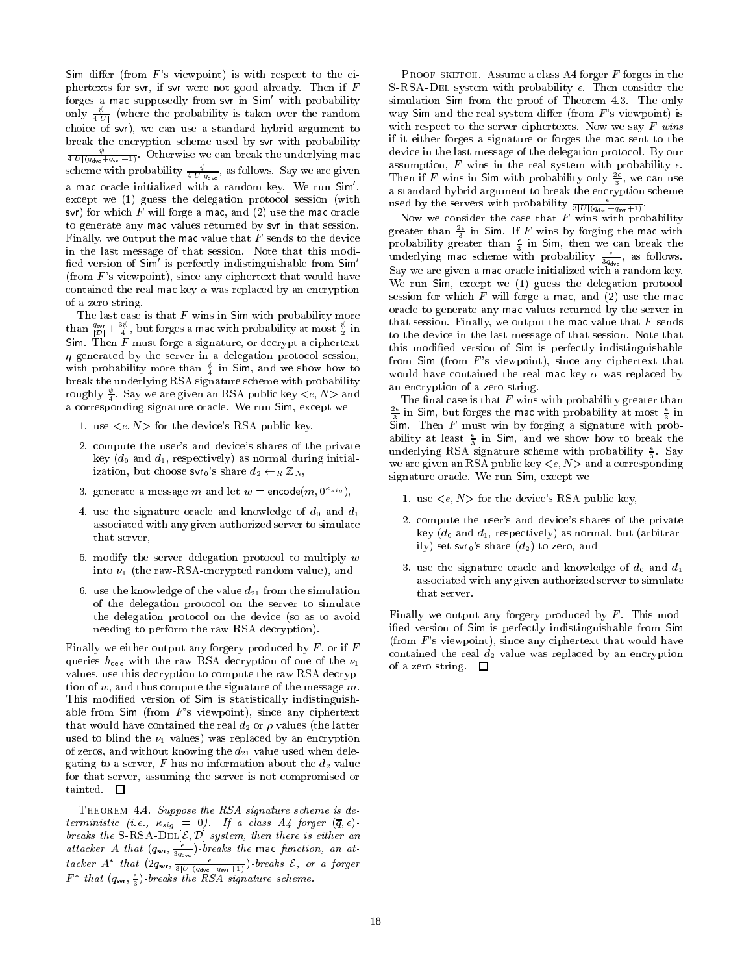Sim differ (from  $F$ 's viewpoint) is with respect to the ciphertexts for svr, if svr were not good already. Then if F forges a mac supposedly from svr in Sim' with probability only  $\frac{1}{4|U|}$  (where the probability is taken over the random way Sim choice of svr), we can use a standard hybrid argument to  $\frac{\psi}{4|U|(q_{\text{dyc}}+q_{\text{svr}}+1)}$ . Otherwise we can break the underlying mac dev scheme with probability  $\frac{1}{4|U|q_{\sf dve}}$ , as follows. Say we are given  $\Gamma_{\sf hef}$ a mac oracle initialized with a random key. We run Sim0 , except we (1) guess the delegation protocol session (with svr) for which  $F$  will forge a mac, and  $(2)$  use the mac oracle to generate any mac values returned by svr in that session. Finally, we output the mac value that  $F$  sends to the device in the last message of that session. Note that this modi fied version of Sim' is perfectly indistinguishable from Sim (from  $F$ 's viewpoint), since any ciphertext that would have contained the real mac key  $\alpha$  was replaced by an encryption of a zero string.

The last case is that  $F$  wins in Sim with probability more than  $\frac{3\omega_1}{|D|} + \frac{\gamma}{4}$ , but forges a mac with probability at most  $\frac{\gamma}{2}$  in Sim. Then  $F$  must forge a signature, or decrypt a ciphertext  $\eta$  generated by the server in a delegation protocol session, with probability more than  $\frac{x}{4}$  in Sim, and we show how to  $\frac{y}{W}$ break the underlying RSA signature scheme with probability roughly  $\frac{1}{\tau}$ . Say we are given an RSA public key  $\langle e, N \rangle$  and  $\tau$ <sup>4</sup> a corresponding signature oracle. We run Sim, except we

- 1. use  $\langle e, N \rangle$  for the device's RSA public key,
- 2. compute the user's and device's shares of the private key  $(d_0 \text{ and } d_1, \text{ respectively})$  as normal during initialization, but choose svr<sub>0</sub>'s share  $d_2 \leftarrow_R \mathbb{Z}_N$ ,
- 3. generate a message  $m$  and let  $w =$  encode( $m, 0^{m \times (g)}$ ),
- 4. use the signature oracle and knowledge of  $d_0$  and  $d_1$ associated with any given authorized server to simulate that server,
- 5. modify the server delegation protocol to multiply  $w$ into  $\nu_1$  (the raw-RSA-encrypted random value), and
- 6. use the knowledge of the value  $d_{21}$  from the simulation of the delegation protocol on the server to simulate the delegation protocol on the device (so as to avoid needing to perform the raw RSA decryption).

Finally we either output any forgery produced by  $F$ , or if  $F$ queries  $h_{\text{delete}}$  with the raw RSA decryption of one of the  $\nu_1$ values, use this decryption to compute the raw RSA decryption of  $w$ , and thus compute the signature of the message  $m$ . This modied version of Sim is statistically indistinguishable from  $Sim$  (from  $F$ 's viewpoint), since any ciphertext that would have contained the real  $d_2$  or  $\rho$  values (the latter used to blind the  $\nu_1$  values) was replaced by an encryption of zeros, and without knowing the  $d_{21}$  value used when delegating to a server,  $F$  has no information about the  $d_2$  value for that server, assuming the server is not compromised or tainted.  $\square$ 

THEOREM 4.4. Suppose the RSA signature scheme is deterministic (i.e.,  $\kappa_{sig} = 0$ ). If a class A4 forger  $(\overline{q}, \epsilon)$ breaks the S-RSA-DEL $[\mathcal{E}, \mathcal{D}]$  system, then there is either an attacker A that  $(q_{\text{svr}}, \frac{1}{3q_{\text{dev}}})$ -breaks the mac function, an attacker A that  $(2q_{\mathsf{svr}}, \frac{1}{3|U|(q_{\mathsf{dvc}}+q_{\mathsf{svr}}+1)})$ -breaks  $\varepsilon$ , or a forger  $F$  that  $(q_{\mathsf{svr}},\frac{1}{3})$  breaks the KSA signature scheme.

PROOF SKETCH. Assume a class A4 forger  $F$  forges in the S-RSA-DEL system with probability  $\epsilon$ . Then consider the simulation Sim from the proof of Theorem 4.3. The only way Sim and the real system differ (from  $F$ 's viewpoint) is with respect to the server ciphertexts. Now we say  $F$  wins if it either forges a signature or forges the mac sent to the device in the last message of the delegation protocol. By our assumption, F wins in the real system with probability  $\epsilon$ . Then if F wins in Sim with probability only  $\frac{2}{3}$ , we can use a standard hybrid argument to break the encryption scheme used by the servers with probability  $\frac{3|U|(q_{\text{dot}}+q_{\text{svr}}+1)}{3|U|(q_{\text{dot}}+q_{\text{svr}}+1)}$ .

 $\overline{11}$  to the device in the last message of that session. Note that Now we consider the case that F wins with probability with probability with probability  $\mathbf{F}$ greater than  $\frac{2}{3}$  in Sim. If F wins by forging the mac with probability greater than  $\frac{2}{3}$  in Sim, then we can break the underlying mac scheme with probability  $\frac{1}{3q_{\mathsf{dyc}}}$ , as follows. Say we are given a mac oracle initialized with a random key. We run Sim, except we (1) guess the delegation protocol session for which  $F$  will forge a mac, and  $(2)$  use the mac oracle to generate any mac values returned by the server in that session. Finally, we output the mac value that  $F$  sends this modied version of Sim is perfectly indistinguishable from Sim (from  $F$ 's viewpoint), since any ciphertext that would have contained the real mac key  $\alpha$  was replaced by an encryption of a zero string.

The final case is that  $F$  wins with probability greater than  $\frac{3}{3}$  in Sim, but forges the mac with probability at most  $\frac{3}{3}$  in  $\tilde{\mathsf{Sim}}$ . Then  $F$  must win by forging a signature with probability at least  $\frac{1}{3}$  in Sim, and we show how to break the underlying KSA signature scheme with probability  $\frac{1}{3}$ . Say we are given an RSA public key  $\langle e, N \rangle$  and a corresponding signature oracle. We run Sim, except we

- 1. use  $\langle e, N \rangle$  for the device's RSA public key,
- 2. compute the user's and device's shares of the private key  $(d_0 \text{ and } d_1, \text{ respectively})$  as normal, but (arbitrarily) set svr<sub>0</sub>'s share  $(d_2)$  to zero, and
- 3. use the signature oracle and knowledge of  $d_0$  and  $d_1$ associated with any given authorized server to simulate that server.

Finally we output any forgery produced by  $F$ . This modied version of Sim is perfectly indistinguishable from Sim (from  $F$ 's viewpoint), since any ciphertext that would have contained the real  $d_2$  value was replaced by an encryption of a zero string.  $\square$